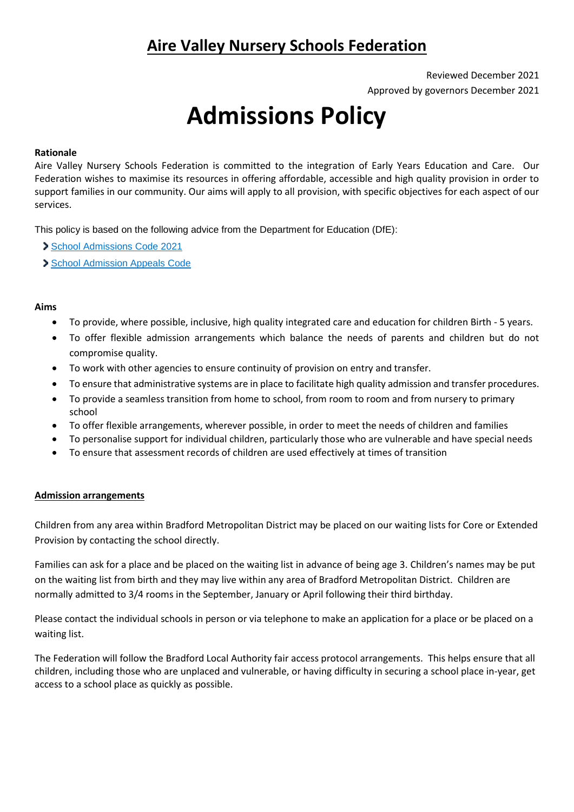# **Aire Valley Nursery Schools Federation**

Reviewed December 2021 Approved by governors December 2021

# **Admissions Policy**

# **Rationale**

Aire Valley Nursery Schools Federation is committed to the integration of Early Years Education and Care. Our Federation wishes to maximise its resources in offering affordable, accessible and high quality provision in order to support families in our community. Our aims will apply to all provision, with specific objectives for each aspect of our services.

This policy is based on the following advice from the Department for Education (DfE):

[School Admissions Code 2021](https://www.gov.uk/government/publications/school-admissions-code--2)

[School Admission Appeals Code](https://www.gov.uk/government/publications/school-admissions-appeals-code)

# **Aims**

- To provide, where possible, inclusive, high quality integrated care and education for children Birth 5 years.
- To offer flexible admission arrangements which balance the needs of parents and children but do not compromise quality.
- To work with other agencies to ensure continuity of provision on entry and transfer.
- To ensure that administrative systems are in place to facilitate high quality admission and transfer procedures.
- To provide a seamless transition from home to school, from room to room and from nursery to primary school
- To offer flexible arrangements, wherever possible, in order to meet the needs of children and families
- To personalise support for individual children, particularly those who are vulnerable and have special needs
- To ensure that assessment records of children are used effectively at times of transition

# **Admission arrangements**

Children from any area within Bradford Metropolitan District may be placed on our waiting lists for Core or Extended Provision by contacting the school directly.

Families can ask for a place and be placed on the waiting list in advance of being age 3. Children's names may be put on the waiting list from birth and they may live within any area of Bradford Metropolitan District. Children are normally admitted to 3/4 rooms in the September, January or April following their third birthday.

Please contact the individual schools in person or via telephone to make an application for a place or be placed on a waiting list.

The Federation will follow the Bradford Local Authority fair access protocol arrangements. This helps ensure that all children, including those who are unplaced and vulnerable, or having difficulty in securing a school place in-year, get access to a school place as quickly as possible.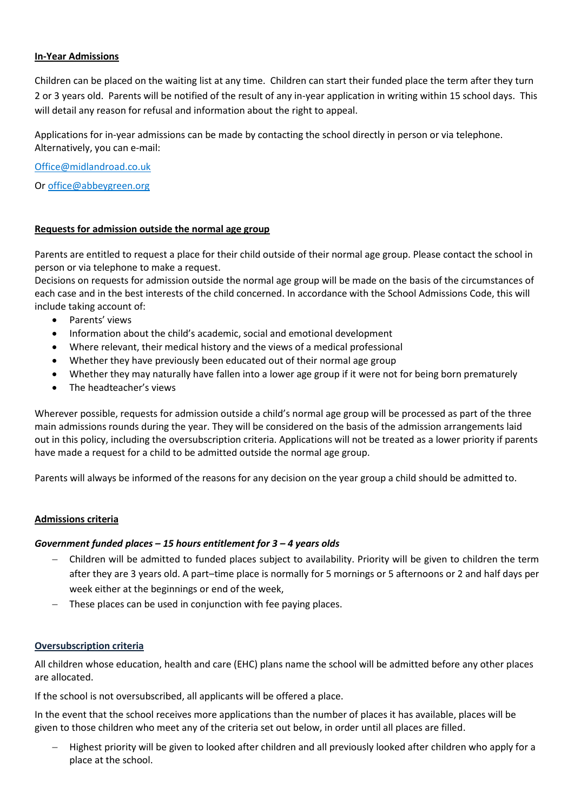#### **In-Year Admissions**

Children can be placed on the waiting list at any time. Children can start their funded place the term after they turn 2 or 3 years old. Parents will be notified of the result of any in-year application in writing within 15 school days. This will detail any reason for refusal and information about the right to appeal.

Applications for in-year admissions can be made by contacting the school directly in person or via telephone. Alternatively, you can e-mail:

[Office@midlandroad.co.uk](mailto:Office@midlandroad.co.uk)

O[r office@abbeygreen.org](mailto:office@abbeygreen.org)

#### **Requests for admission outside the normal age group**

Parents are entitled to request a place for their child outside of their normal age group. Please contact the school in person or via telephone to make a request.

Decisions on requests for admission outside the normal age group will be made on the basis of the circumstances of each case and in the best interests of the child concerned. In accordance with the School Admissions Code, this will include taking account of:

- Parents' views
- Information about the child's academic, social and emotional development
- Where relevant, their medical history and the views of a medical professional
- Whether they have previously been educated out of their normal age group
- Whether they may naturally have fallen into a lower age group if it were not for being born prematurely
- The headteacher's views

Wherever possible, requests for admission outside a child's normal age group will be processed as part of the three main admissions rounds during the year. They will be considered on the basis of the admission arrangements laid out in this policy, including the oversubscription criteria. Applications will not be treated as a lower priority if parents have made a request for a child to be admitted outside the normal age group.

Parents will always be informed of the reasons for any decision on the year group a child should be admitted to.

#### **Admissions criteria**

#### *Government funded places – 15 hours entitlement for 3 – 4 years olds*

- Children will be admitted to funded places subject to availability. Priority will be given to children the term after they are 3 years old. A part–time place is normally for 5 mornings or 5 afternoons or 2 and half days per week either at the beginnings or end of the week,
- These places can be used in conjunction with fee paying places.

#### **Oversubscription criteria**

All children whose education, health and care (EHC) plans name the school will be admitted before any other places are allocated.

If the school is not oversubscribed, all applicants will be offered a place.

In the event that the school receives more applications than the number of places it has available, places will be given to those children who meet any of the criteria set out below, in order until all places are filled.

 Highest priority will be given to looked after children and all previously looked after children who apply for a place at the school.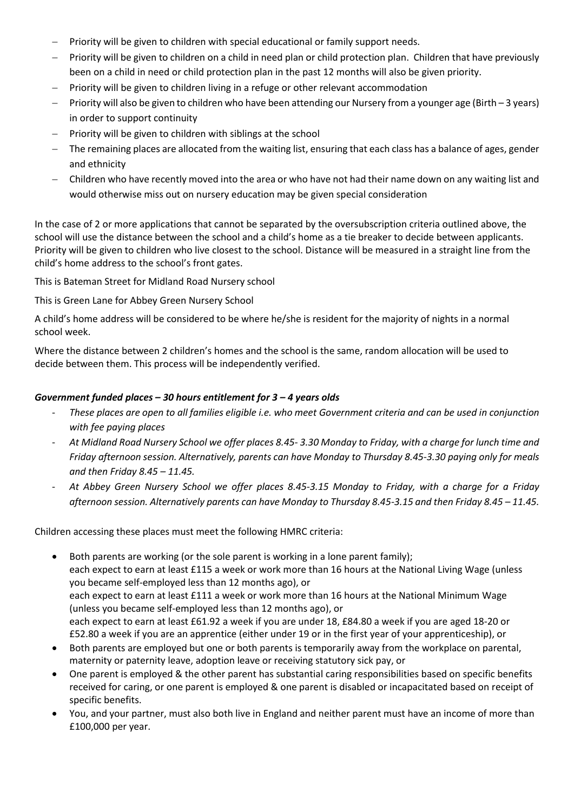- Priority will be given to children with special educational or family support needs.
- Priority will be given to children on a child in need plan or child protection plan. Children that have previously been on a child in need or child protection plan in the past 12 months will also be given priority.
- Priority will be given to children living in a refuge or other relevant accommodation
- Priority will also be given to children who have been attending our Nursery from a younger age (Birth 3 years) in order to support continuity
- Priority will be given to children with siblings at the school
- The remaining places are allocated from the waiting list, ensuring that each class has a balance of ages, gender and ethnicity
- Children who have recently moved into the area or who have not had their name down on any waiting list and would otherwise miss out on nursery education may be given special consideration

In the case of 2 or more applications that cannot be separated by the oversubscription criteria outlined above, the school will use the distance between the school and a child's home as a tie breaker to decide between applicants. Priority will be given to children who live closest to the school. Distance will be measured in a straight line from the child's home address to the school's front gates.

This is Bateman Street for Midland Road Nursery school

This is Green Lane for Abbey Green Nursery School

A child's home address will be considered to be where he/she is resident for the majority of nights in a normal school week.

Where the distance between 2 children's homes and the school is the same, random allocation will be used to decide between them. This process will be independently verified.

# *Government funded places – 30 hours entitlement for 3 – 4 years olds*

- *These places are open to all families eligible i.e. who meet Government criteria and can be used in conjunction with fee paying places*
- *At Midland Road Nursery School we offer places 8.45- 3.30 Monday to Friday, with a charge for lunch time and Friday afternoon session. Alternatively, parents can have Monday to Thursday 8.45-3.30 paying only for meals and then Friday 8.45 – 11.45.*
- *At Abbey Green Nursery School we offer places 8.45-3.15 Monday to Friday, with a charge for a Friday afternoon session. Alternatively parents can have Monday to Thursday 8.45-3.15 and then Friday 8.45 – 11.45.*

Children accessing these places must meet the following HMRC criteria:

- Both parents are working (or the sole parent is working in a lone parent family); each expect to earn at least £115 a week or work more than 16 hours at the National Living Wage (unless you became self-employed less than 12 months ago), or each expect to earn at least £111 a week or work more than 16 hours at the National Minimum Wage (unless you became self-employed less than 12 months ago), or each expect to earn at least £61.92 a week if you are under 18, £84.80 a week if you are aged 18-20 or £52.80 a week if you are an apprentice (either under 19 or in the first year of your apprenticeship), or
- Both parents are employed but one or both parents is temporarily away from the workplace on parental, maternity or paternity leave, adoption leave or receiving statutory sick pay, or
- One parent is employed & the other parent has substantial caring responsibilities based on specific benefits received for caring, or one parent is employed & one parent is disabled or incapacitated based on receipt of specific benefits.
- You, and your partner, must also both live in England and neither parent must have an income of more than £100,000 per year.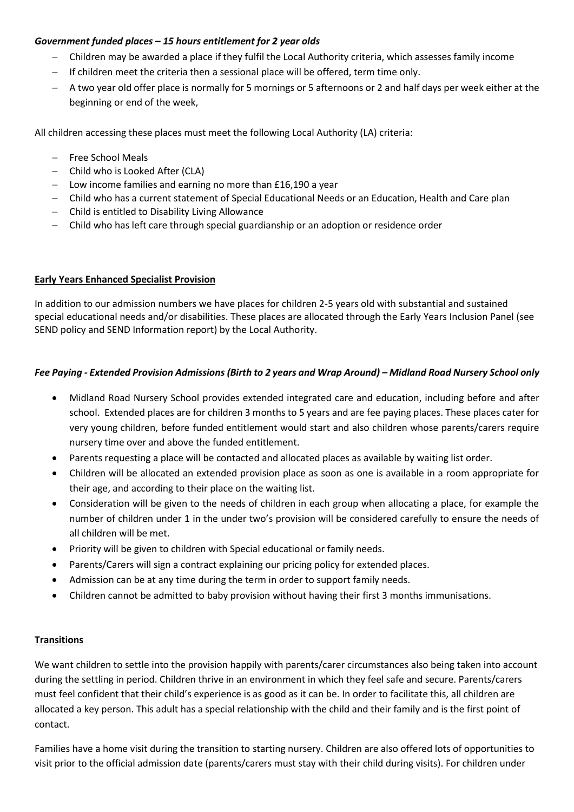# *Government funded places – 15 hours entitlement for 2 year olds*

- Children may be awarded a place if they fulfil the Local Authority criteria, which assesses family income
- $-$  If children meet the criteria then a sessional place will be offered, term time only.
- A two year old offer place is normally for 5 mornings or 5 afternoons or 2 and half days per week either at the beginning or end of the week,

All children accessing these places must meet the following Local Authority (LA) criteria:

- Free School Meals
- Child who is Looked After (CLA)
- Low income families and earning no more than £16,190 a year
- Child who has a current statement of Special Educational Needs or an Education, Health and Care plan
- Child is entitled to Disability Living Allowance
- Child who has left care through special guardianship or an adoption or residence order

# **Early Years Enhanced Specialist Provision**

In addition to our admission numbers we have places for children 2-5 years old with substantial and sustained special educational needs and/or disabilities. These places are allocated through the Early Years Inclusion Panel (see SEND policy and SEND Information report) by the Local Authority.

# *Fee Paying - Extended Provision Admissions (Birth to 2 years and Wrap Around) – Midland Road Nursery School only*

- Midland Road Nursery School provides extended integrated care and education, including before and after school. Extended places are for children 3 months to 5 years and are fee paying places. These places cater for very young children, before funded entitlement would start and also children whose parents/carers require nursery time over and above the funded entitlement.
- Parents requesting a place will be contacted and allocated places as available by waiting list order.
- Children will be allocated an extended provision place as soon as one is available in a room appropriate for their age, and according to their place on the waiting list.
- Consideration will be given to the needs of children in each group when allocating a place, for example the number of children under 1 in the under two's provision will be considered carefully to ensure the needs of all children will be met.
- Priority will be given to children with Special educational or family needs.
- Parents/Carers will sign a contract explaining our pricing policy for extended places.
- Admission can be at any time during the term in order to support family needs.
- Children cannot be admitted to baby provision without having their first 3 months immunisations.

# **Transitions**

We want children to settle into the provision happily with parents/carer circumstances also being taken into account during the settling in period. Children thrive in an environment in which they feel safe and secure. Parents/carers must feel confident that their child's experience is as good as it can be. In order to facilitate this, all children are allocated a key person. This adult has a special relationship with the child and their family and is the first point of contact.

Families have a home visit during the transition to starting nursery. Children are also offered lots of opportunities to visit prior to the official admission date (parents/carers must stay with their child during visits). For children under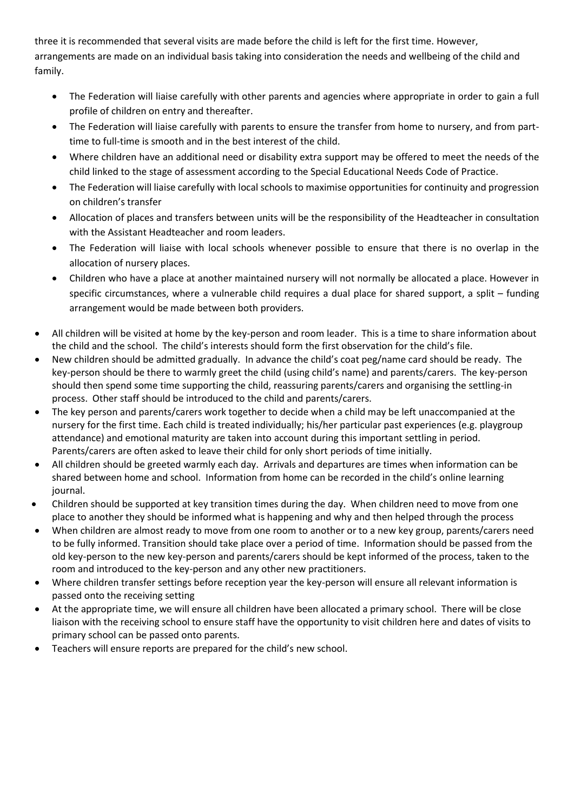three it is recommended that several visits are made before the child is left for the first time. However, arrangements are made on an individual basis taking into consideration the needs and wellbeing of the child and family.

- The Federation will liaise carefully with other parents and agencies where appropriate in order to gain a full profile of children on entry and thereafter.
- The Federation will liaise carefully with parents to ensure the transfer from home to nursery, and from parttime to full-time is smooth and in the best interest of the child.
- Where children have an additional need or disability extra support may be offered to meet the needs of the child linked to the stage of assessment according to the Special Educational Needs Code of Practice.
- The Federation will liaise carefully with local schools to maximise opportunities for continuity and progression on children's transfer
- Allocation of places and transfers between units will be the responsibility of the Headteacher in consultation with the Assistant Headteacher and room leaders.
- The Federation will liaise with local schools whenever possible to ensure that there is no overlap in the allocation of nursery places.
- Children who have a place at another maintained nursery will not normally be allocated a place. However in specific circumstances, where a vulnerable child requires a dual place for shared support, a split – funding arrangement would be made between both providers.
- All children will be visited at home by the key-person and room leader. This is a time to share information about the child and the school. The child's interests should form the first observation for the child's file.
- New children should be admitted gradually. In advance the child's coat peg/name card should be ready. The key-person should be there to warmly greet the child (using child's name) and parents/carers. The key-person should then spend some time supporting the child, reassuring parents/carers and organising the settling-in process. Other staff should be introduced to the child and parents/carers.
- The key person and parents/carers work together to decide when a child may be left unaccompanied at the nursery for the first time. Each child is treated individually; his/her particular past experiences (e.g. playgroup attendance) and emotional maturity are taken into account during this important settling in period. Parents/carers are often asked to leave their child for only short periods of time initially.
- All children should be greeted warmly each day. Arrivals and departures are times when information can be shared between home and school. Information from home can be recorded in the child's online learning journal.
- Children should be supported at key transition times during the day. When children need to move from one place to another they should be informed what is happening and why and then helped through the process
- When children are almost ready to move from one room to another or to a new key group, parents/carers need to be fully informed. Transition should take place over a period of time. Information should be passed from the old key-person to the new key-person and parents/carers should be kept informed of the process, taken to the room and introduced to the key-person and any other new practitioners.
- Where children transfer settings before reception year the key-person will ensure all relevant information is passed onto the receiving setting
- At the appropriate time, we will ensure all children have been allocated a primary school. There will be close liaison with the receiving school to ensure staff have the opportunity to visit children here and dates of visits to primary school can be passed onto parents.
- Teachers will ensure reports are prepared for the child's new school.